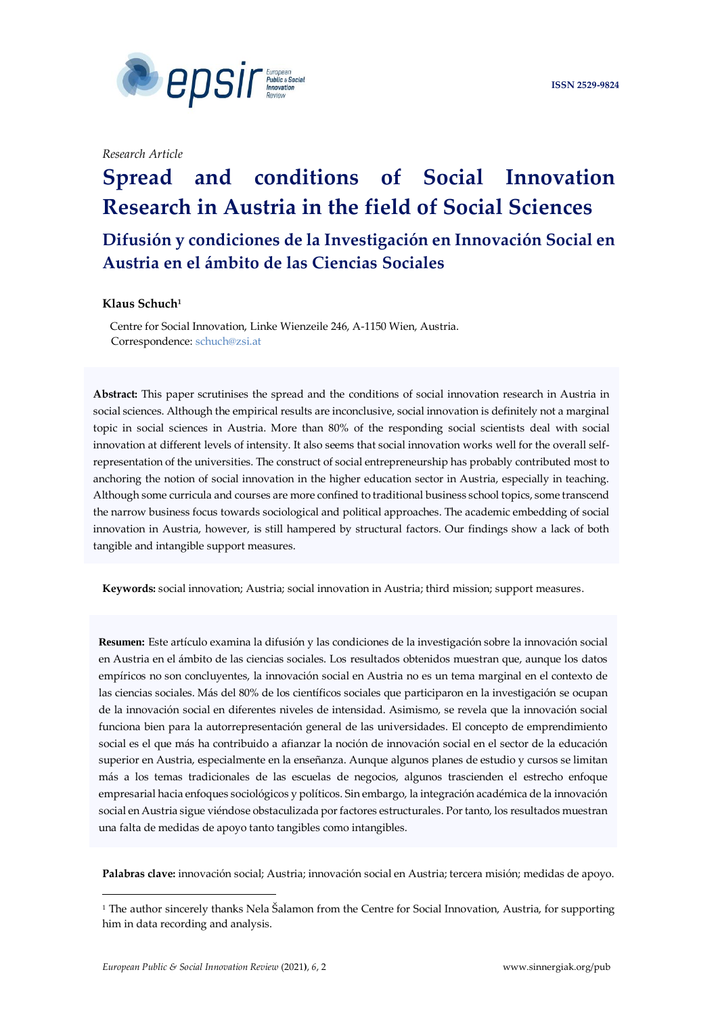

*Research Article*

# **Spread and conditions of Social Innovation Research in Austria in the field of Social Sciences**

**Difusión y condiciones de la Investigación en Innovación Social en Austria en el ámbito de las Ciencias Sociales**

# **Klaus Schuch<sup>1</sup>**

 Centre for Social Innovation, Linke Wienzeile 246, A-1150 Wien, Austria. Correspondence: [schuch@zsi.at](mailto:schuch@zsi.at)

 innovation in Austria, however, is still hampered by structural factors. Our findings show a lack of both **Abstract:** This paper scrutinises the spread and the conditions of social innovation research in Austria in social sciences. Although the empirical results are inconclusive, social innovation is definitely not a marginal topic in social sciences in Austria. More than 80% of the responding social scientists deal with social innovation at different levels of intensity. It also seems that social innovation works well for the overall selfrepresentation of the universities. The construct of social entrepreneurship has probably contributed most to anchoring the notion of social innovation in the higher education sector in Austria, especially in teaching. Although some curricula and courses are more confined to traditional business school topics, some transcend the narrow business focus towards sociological and political approaches. The academic embedding of social tangible and intangible support measures.

**Keywords:** social innovation; Austria; social innovation in Austria; third mission; support measures.

 superior en Austria, especialmente en la enseñanza. Aunque algunos planes de estudio y cursos se limitan  más a los temas tradicionales de las escuelas de negocios, algunos trascienden el estrecho enfoque **Resumen:** Este artículo examina la difusión y las condiciones de la investigación sobre la innovación social en Austria en el ámbito de las ciencias sociales. Los resultados obtenidos muestran que, aunque los datos empíricos no son concluyentes, la innovación social en Austria no es un tema marginal en el contexto de las ciencias sociales. Más del 80% de los científicos sociales que participaron en la investigación se ocupan de la innovación social en diferentes niveles de intensidad. Asimismo, se revela que la innovación social funciona bien para la autorrepresentación general de las universidades. El concepto de emprendimiento social es el que más ha contribuido a afianzar la noción de innovación social en el sector de la educación empresarial hacia enfoques sociológicos y políticos. Sin embargo, la integración académica de la innovación social en Austria sigue viéndose obstaculizada por factores estructurales. Por tanto, los resultados muestran una falta de medidas de apoyo tanto tangibles como intangibles.

**Palabras clave:** innovación social; Austria; innovación social en Austria; tercera misión; medidas de apoyo.

<sup>1</sup> The author sincerely thanks Nela Šalamon from the Centre for Social Innovation, Austria, for supporting him in data recording and analysis.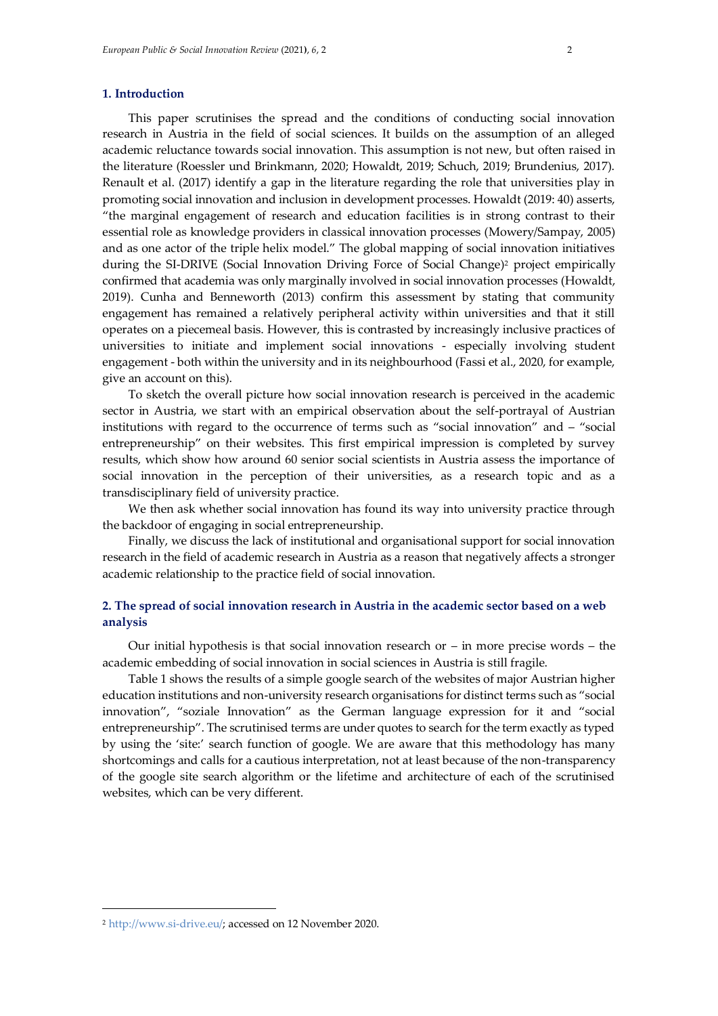#### **1. Introduction**

This paper scrutinises the spread and the conditions of conducting social innovation research in Austria in the field of social sciences. It builds on the assumption of an alleged academic reluctance towards social innovation. This assumption is not new, but often raised in the literature (Roessler und Brinkmann, 2020; Howaldt, 2019; Schuch, 2019; Brundenius, 2017). Renault et al. (2017) identify a gap in the literature regarding the role that universities play in promoting social innovation and inclusion in development processes. Howaldt (2019: 40) asserts, "the marginal engagement of research and education facilities is in strong contrast to their essential role as knowledge providers in classical innovation processes (Mowery/Sampay, 2005) and as one actor of the triple helix model." The global mapping of social innovation initiatives during the SI-DRIVE (Social Innovation Driving Force of Social Change)<sup>2</sup> project empirically confirmed that academia was only marginally involved in social innovation processes (Howaldt, 2019). Cunha and Benneworth (2013) confirm this assessment by stating that community engagement has remained a relatively peripheral activity within universities and that it still operates on a piecemeal basis. However, this is contrasted by increasingly inclusive practices of universities to initiate and implement social innovations - especially involving student engagement - both within the university and in its neighbourhood (Fassi et al., 2020, for example, give an account on this).

To sketch the overall picture how social innovation research is perceived in the academic sector in Austria, we start with an empirical observation about the self-portrayal of Austrian institutions with regard to the occurrence of terms such as "social innovation" and – "social entrepreneurship" on their websites. This first empirical impression is completed by survey results, which show how around 60 senior social scientists in Austria assess the importance of social innovation in the perception of their universities, as a research topic and as a transdisciplinary field of university practice.

We then ask whether social innovation has found its way into university practice through the backdoor of engaging in social entrepreneurship.

Finally, we discuss the lack of institutional and organisational support for social innovation research in the field of academic research in Austria as a reason that negatively affects a stronger academic relationship to the practice field of social innovation.

# **2. The spread of social innovation research in Austria in the academic sector based on a web analysis**

Our initial hypothesis is that social innovation research or  $-$  in more precise words  $-$  the academic embedding of social innovation in social sciences in Austria is still fragile.

Table 1 shows the results of a simple google search of the websites of major Austrian higher education institutions and non-university research organisations for distinct terms such as "social innovation", "soziale Innovation" as the German language expression for it and "social entrepreneurship". The scrutinised terms are under quotes to search for the term exactly as typed by using the 'site:' search function of google. We are aware that this methodology has many shortcomings and calls for a cautious interpretation, not at least because of the non-transparency of the google site search algorithm or the lifetime and architecture of each of the scrutinised websites, which can be very different.

<sup>2</sup> [http://www.si-drive.eu/;](http://www.si-drive.eu/) accessed on 12 November 2020.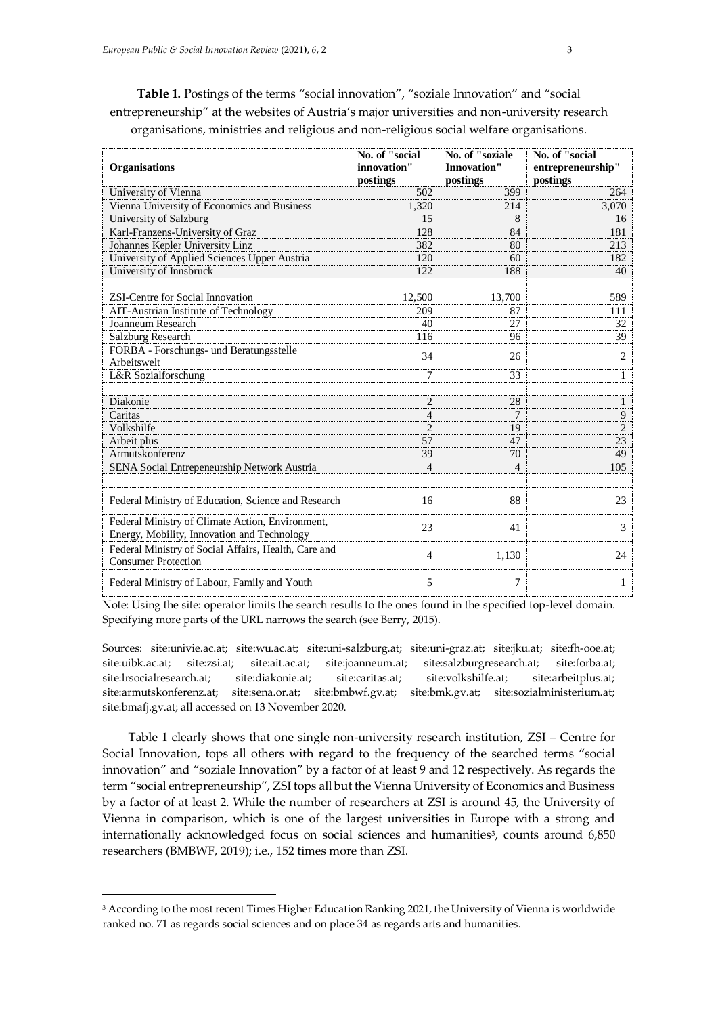**Table 1.** Postings of the terms "social innovation", "soziale Innovation" and "social entrepreneurship" at the websites of Austria's major universities and non-university research organisations, ministries and religious and non-religious social welfare organisations.

| <b>Organisations</b>                                                                            | No. of "social<br>innovation"<br>postings | No. of "soziale<br><b>Innovation"</b><br>postings | No. of "social<br>entrepreneurship"<br>postings |  |
|-------------------------------------------------------------------------------------------------|-------------------------------------------|---------------------------------------------------|-------------------------------------------------|--|
| University of Vienna                                                                            | 502                                       | 399                                               | 264                                             |  |
| Vienna University of Economics and Business                                                     | 1,320                                     | 214                                               | 3,070                                           |  |
| University of Salzburg                                                                          | 15                                        | 8                                                 | 16                                              |  |
| Karl-Franzens-University of Graz                                                                | 128                                       | 84                                                | 181                                             |  |
| Johannes Kepler University Linz                                                                 | 382                                       | 80                                                | 213                                             |  |
| University of Applied Sciences Upper Austria                                                    | 120                                       | 60                                                | 182                                             |  |
| University of Innsbruck                                                                         | 122                                       | 188                                               | 40                                              |  |
| <b>ZSI-Centre for Social Innovation</b>                                                         | 12,500                                    | 13.700                                            | 589                                             |  |
| AIT-Austrian Institute of Technology                                                            | 209                                       | 87                                                | 111                                             |  |
| Joanneum Research                                                                               | 40                                        | 27                                                | 32                                              |  |
| Salzburg Research                                                                               | 116                                       | 96                                                | 39                                              |  |
| FORBA - Forschungs- und Beratungsstelle<br>Arbeitswelt                                          | 34                                        | 26                                                | 2                                               |  |
| L&R Sozialforschung                                                                             | $\tau$                                    | 33                                                | $\mathbf{1}$                                    |  |
| Diakonie                                                                                        | $\overline{2}$                            | 28                                                | $\mathbf{1}$                                    |  |
| Caritas                                                                                         | $\overline{4}$                            | 7                                                 | 9                                               |  |
| Volkshilfe                                                                                      | $\overline{c}$                            | 19                                                | $\overline{2}$                                  |  |
| Arbeit plus                                                                                     | 57                                        | 47                                                | 23                                              |  |
| Armutskonferenz                                                                                 | 39                                        | 70                                                | 49                                              |  |
| SENA Social Entrepeneurship Network Austria                                                     | $\overline{4}$                            | $\overline{4}$                                    | 105                                             |  |
| Federal Ministry of Education, Science and Research                                             | 16                                        | 88                                                | 23                                              |  |
| Federal Ministry of Climate Action, Environment,<br>Energy, Mobility, Innovation and Technology | 23                                        | 41                                                | 3                                               |  |
| Federal Ministry of Social Affairs, Health, Care and<br><b>Consumer Protection</b>              | 4                                         | 1,130                                             | 24                                              |  |
| Federal Ministry of Labour, Family and Youth                                                    | 5                                         | 7                                                 | 1                                               |  |

Note: Using the site: operator limits the search results to the ones found in the specified top-level domain. Specifying more parts of the URL narrows the search (see Berry, 2015).

Sources: site:univie.ac.at; site:wu.ac.at; site:uni-salzburg.at; site:uni-graz.at; site:jku.at; site:fh-ooe.at; site:uibk.ac.at; site:zsi.at; site:ait.ac.at; site:joanneum.at; site:salzburgresearch.at; site:forba.at; site:lrsocialresearch.at; site:diakonie.at; site:caritas.at; site:volkshilfe.at; site:arbeitplus.at; site:armutskonferenz.at; site:sena.or.at; site:bmbwf.gv.at; site:bmk.gv.at; site:sozialministerium.at; site:bmafj.gv.at; all accessed on 13 November 2020.

Table 1 clearly shows that one single non-university research institution, ZSI – Centre for Social Innovation, tops all others with regard to the frequency of the searched terms "social innovation" and "soziale Innovation" by a factor of at least 9 and 12 respectively. As regards the term "social entrepreneurship", ZSI tops all but the Vienna University of Economics and Business by a factor of at least 2. While the number of researchers at ZSI is around 45, the University of Vienna in comparison, which is one of the largest universities in Europe with a strong and internationally acknowledged focus on social sciences and humanities<sup>3</sup>, counts around 6,850 researchers (BMBWF, 2019); i.e., 152 times more than ZSI.

<sup>&</sup>lt;sup>3</sup> According to the most recent Times Higher Education Ranking 2021, the University of Vienna is worldwide ranked no. 71 as regards social sciences and on place 34 as regards arts and humanities.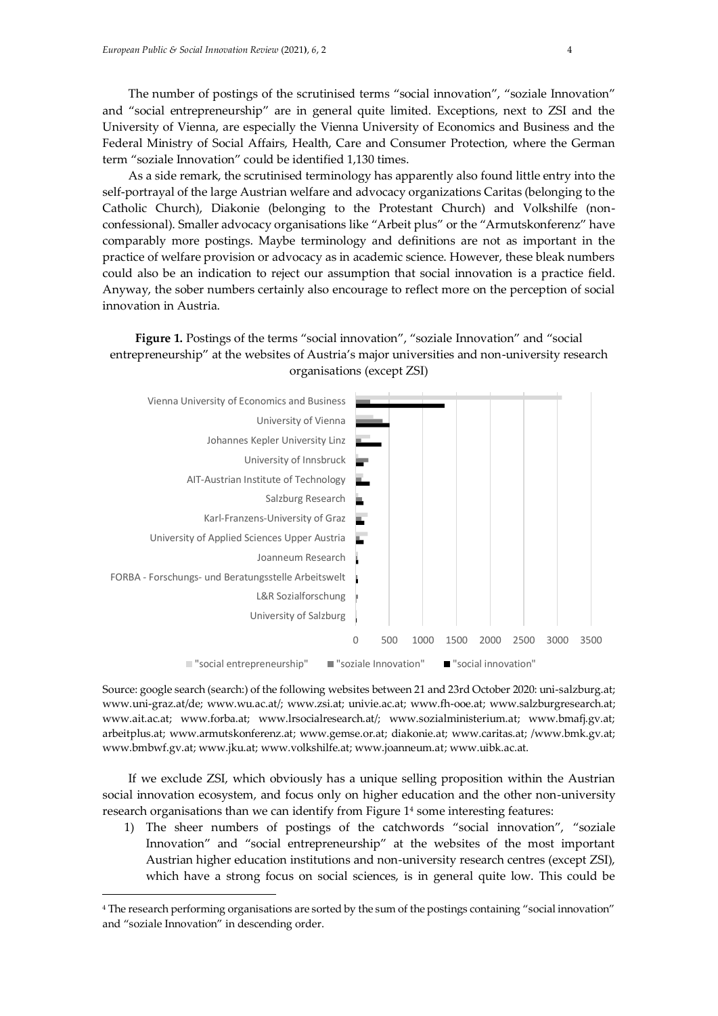The number of postings of the scrutinised terms "social innovation", "soziale Innovation" and "social entrepreneurship" are in general quite limited. Exceptions, next to ZSI and the University of Vienna, are especially the Vienna University of Economics and Business and the Federal Ministry of Social Affairs, Health, Care and Consumer Protection, where the German term "soziale Innovation" could be identified 1,130 times.

As a side remark, the scrutinised terminology has apparently also found little entry into the self-portrayal of the large Austrian welfare and advocacy organizations Caritas (belonging to the Catholic Church), Diakonie (belonging to the Protestant Church) and Volkshilfe (nonconfessional). Smaller advocacy organisations like "Arbeit plus" or the "Armutskonferenz" have comparably more postings. Maybe terminology and definitions are not as important in the practice of welfare provision or advocacy as in academic science. However, these bleak numbers could also be an indication to reject our assumption that social innovation is a practice field. Anyway, the sober numbers certainly also encourage to reflect more on the perception of social innovation in Austria.

# **Figure 1.** Postings of the terms "social innovation", "soziale Innovation" and "social entrepreneurship" at the websites of Austria's major universities and non-university research organisations (except ZSI)



Source: google search (search:) of the following websites between 21 and 23rd October 2020: uni-salzburg.at; www.uni-graz.at/de; www.wu.ac.at/; www.zsi.at; univie.ac.at; www.fh-ooe.at; www.salzburgresearch.at; www.ait.ac.at; www.forba.at; www.lrsocialresearch.at/; www.sozialministerium.at; www.bmafj.gv.at; arbeitplus.at; www.armutskonferenz.at; www.gemse.or.at; diakonie.at; www.caritas.at; /www.bmk.gv.at; www.bmbwf.gv.at; www.jku.at; www.volkshilfe.at; www.joanneum.at; [www.uibk.ac.at.](http://www.uibk.ac.at/)

If we exclude ZSI, which obviously has a unique selling proposition within the Austrian social innovation ecosystem, and focus only on higher education and the other non-university research organisations than we can identify from Figure 1<sup>4</sup> some interesting features:

1) The sheer numbers of postings of the catchwords "social innovation", "soziale Innovation" and "social entrepreneurship" at the websites of the most important Austrian higher education institutions and non-university research centres (except ZSI), which have a strong focus on social sciences, is in general quite low. This could be

<sup>4</sup> The research performing organisations are sorted by the sum of the postings containing "social innovation" and "soziale Innovation" in descending order.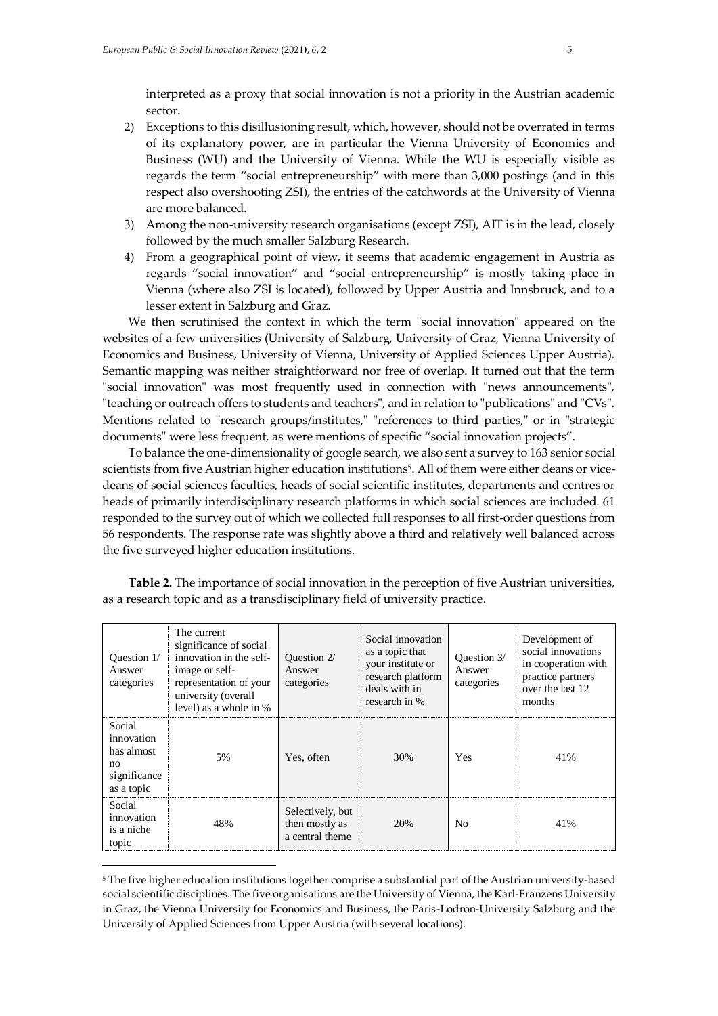interpreted as a proxy that social innovation is not a priority in the Austrian academic sector.

- 2) Exceptions to this disillusioning result, which, however, should not be overrated in terms of its explanatory power, are in particular the Vienna University of Economics and Business (WU) and the University of Vienna. While the WU is especially visible as regards the term "social entrepreneurship" with more than 3,000 postings (and in this respect also overshooting ZSI), the entries of the catchwords at the University of Vienna are more balanced.
- 3) Among the non-university research organisations (except ZSI), AIT is in the lead, closely followed by the much smaller Salzburg Research.
- 4) From a geographical point of view, it seems that academic engagement in Austria as regards "social innovation" and "social entrepreneurship" is mostly taking place in Vienna (where also ZSI is located), followed by Upper Austria and Innsbruck, and to a lesser extent in Salzburg and Graz.

We then scrutinised the context in which the term "social innovation" appeared on the websites of a few universities (University of Salzburg, University of Graz, Vienna University of Economics and Business, University of Vienna, University of Applied Sciences Upper Austria). Semantic mapping was neither straightforward nor free of overlap. It turned out that the term "social innovation" was most frequently used in connection with "news announcements", "teaching or outreach offers to students and teachers", and in relation to "publications" and "CVs". Mentions related to "research groups/institutes," "references to third parties," or in "strategic documents" were less frequent, as were mentions of specific "social innovation projects".

To balance the one-dimensionality of google search, we also sent a survey to 163 senior social scientists from five Austrian higher education institutions<sup>5</sup> . All of them were either deans or vicedeans of social sciences faculties, heads of social scientific institutes, departments and centres or heads of primarily interdisciplinary research platforms in which social sciences are included. 61 responded to the survey out of which we collected full responses to all first-order questions from 56 respondents. The response rate was slightly above a third and relatively well balanced across the five surveyed higher education institutions.

| Ouestion 1/<br>Answer<br>categories                                    | The current<br>significance of social<br>innovation in the self-<br>image or self-<br>representation of your<br>university (overall<br>level) as a whole in % | Question 2/<br>Answer<br>categories                   | Social innovation<br>as a topic that<br>your institute or<br>research platform<br>deals with in<br>research in % | Ouestion 3/<br>Answer<br>categories | Development of<br>social innovations<br>in cooperation with<br>practice partners<br>over the last 12.<br>months |
|------------------------------------------------------------------------|---------------------------------------------------------------------------------------------------------------------------------------------------------------|-------------------------------------------------------|------------------------------------------------------------------------------------------------------------------|-------------------------------------|-----------------------------------------------------------------------------------------------------------------|
| Social<br>innovation<br>has almost<br>no<br>significance<br>as a topic | .5%                                                                                                                                                           | Yes, often                                            | 30%                                                                                                              | Yes                                 | 41%                                                                                                             |
| Social<br>innovation<br>is a niche<br>topic                            | 48%                                                                                                                                                           | Selectively, but<br>then mostly as<br>a central theme | 20%                                                                                                              | No                                  | 41%                                                                                                             |

**Table 2.** The importance of social innovation in the perception of five Austrian universities, as a research topic and as a transdisciplinary field of university practice.

<sup>5</sup> The five higher education institutions together comprise a substantial part of the Austrian university-based social scientific disciplines. The five organisations are the University of Vienna, the Karl-Franzens University in Graz, the Vienna University for Economics and Business, the Paris-Lodron-University Salzburg and the University of Applied Sciences from Upper Austria (with several locations).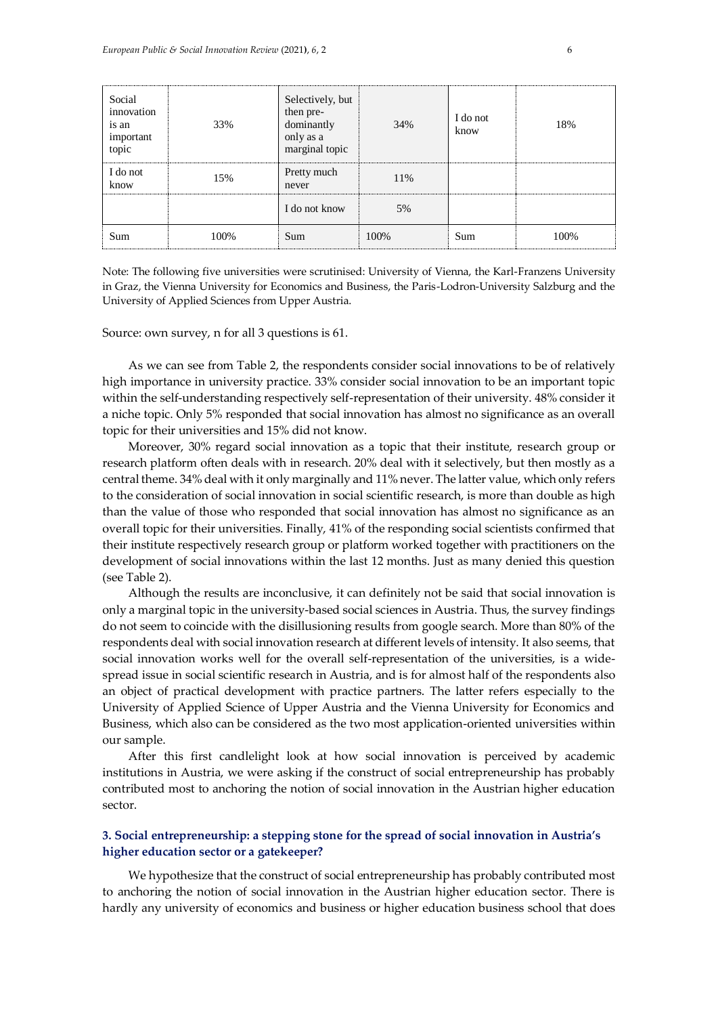| Social<br>innovation<br>is an<br>important<br>topic | 33%  | Selectively, but<br>then pre-<br>dominantly<br>only as a<br>marginal topic | 34%  | I do not<br>know | 18%  |
|-----------------------------------------------------|------|----------------------------------------------------------------------------|------|------------------|------|
| I do not<br>know                                    | 15%  | Pretty much<br>never                                                       | 11%  |                  |      |
|                                                     |      | I do not know                                                              | 5%   |                  |      |
| Sum                                                 | 100% | Sum                                                                        | 100% | Sum              | 100% |

Note: The following five universities were scrutinised: University of Vienna, the Karl-Franzens University in Graz, the Vienna University for Economics and Business, the Paris-Lodron-University Salzburg and the University of Applied Sciences from Upper Austria.

Source: own survey, n for all 3 questions is 61.

As we can see from Table 2, the respondents consider social innovations to be of relatively high importance in university practice. 33% consider social innovation to be an important topic within the self-understanding respectively self-representation of their university. 48% consider it a niche topic. Only 5% responded that social innovation has almost no significance as an overall topic for their universities and 15% did not know.

Moreover, 30% regard social innovation as a topic that their institute, research group or research platform often deals with in research. 20% deal with it selectively, but then mostly as a central theme. 34% deal with it only marginally and 11% never. The latter value, which only refers to the consideration of social innovation in social scientific research, is more than double as high than the value of those who responded that social innovation has almost no significance as an overall topic for their universities. Finally, 41% of the responding social scientists confirmed that their institute respectively research group or platform worked together with practitioners on the development of social innovations within the last 12 months. Just as many denied this question (see Table 2).

Although the results are inconclusive, it can definitely not be said that social innovation is only a marginal topic in the university-based social sciences in Austria. Thus, the survey findings do not seem to coincide with the disillusioning results from google search. More than 80% of the respondents deal with social innovation research at different levels of intensity. It also seems, that social innovation works well for the overall self-representation of the universities, is a widespread issue in social scientific research in Austria, and is for almost half of the respondents also an object of practical development with practice partners. The latter refers especially to the University of Applied Science of Upper Austria and the Vienna University for Economics and Business, which also can be considered as the two most application-oriented universities within our sample.

After this first candlelight look at how social innovation is perceived by academic institutions in Austria, we were asking if the construct of social entrepreneurship has probably contributed most to anchoring the notion of social innovation in the Austrian higher education sector.

# **3. Social entrepreneurship: a stepping stone for the spread of social innovation in Austria's higher education sector or a gatekeeper?**

We hypothesize that the construct of social entrepreneurship has probably contributed most to anchoring the notion of social innovation in the Austrian higher education sector. There is hardly any university of economics and business or higher education business school that does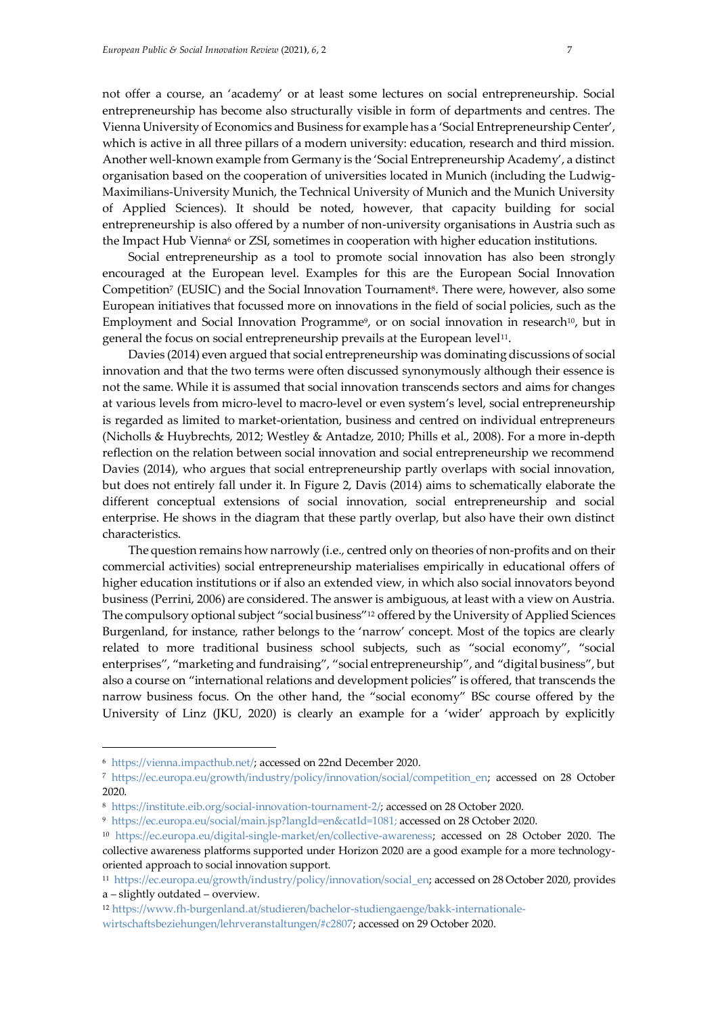not offer a course, an 'academy' or at least some lectures on social entrepreneurship. Social entrepreneurship has become also structurally visible in form of departments and centres. The Vienna University of Economics and Business for example has a 'Social Entrepreneurship Center', which is active in all three pillars of a modern university: education, research and third mission. Another well-known example from Germany is the 'Social Entrepreneurship Academy', a distinct organisation based on the cooperation of universities located in Munich (including the Ludwig-Maximilians-University Munich, the Technical University of Munich and the Munich University of Applied Sciences). It should be noted, however, that capacity building for social entrepreneurship is also offered by a number of non-university organisations in Austria such as the Impact Hub Vienna<sup>6</sup> or ZSI, sometimes in cooperation with higher education institutions.

Social entrepreneurship as a tool to promote social innovation has also been strongly encouraged at the European level. Examples for this are the European Social Innovation Competition<sup>7</sup> (EUSIC) and the Social Innovation Tournament<sup>8</sup>. There were, however, also some European initiatives that focussed more on innovations in the field of social policies, such as the Employment and Social Innovation Programme<sup>9</sup>, or on social innovation in research<sup>10</sup>, but in general the focus on social entrepreneurship prevails at the European level<sup>11</sup>.

Davies (2014) even argued that social entrepreneurship was dominating discussions of social innovation and that the two terms were often discussed synonymously although their essence is not the same. While it is assumed that social innovation transcends sectors and aims for changes at various levels from micro-level to macro-level or even system's level, social entrepreneurship is regarded as limited to market-orientation, business and centred on individual entrepreneurs (Nicholls & Huybrechts, 2012; Westley & Antadze, 2010; Phills et al., 2008). For a more in-depth reflection on the relation between social innovation and social entrepreneurship we recommend Davies (2014), who argues that social entrepreneurship partly overlaps with social innovation, but does not entirely fall under it. In Figure 2, Davis (2014) aims to schematically elaborate the different conceptual extensions of social innovation, social entrepreneurship and social enterprise. He shows in the diagram that these partly overlap, but also have their own distinct characteristics.

The question remains how narrowly (i.e., centred only on theories of non-profits and on their commercial activities) social entrepreneurship materialises empirically in educational offers of higher education institutions or if also an extended view, in which also social innovators beyond business (Perrini, 2006) are considered. The answer is ambiguous, at least with a view on Austria. The compulsory optional subject "social business"<sup>12</sup> offered by the University of Applied Sciences Burgenland, for instance, rather belongs to the 'narrow' concept. Most of the topics are clearly related to more traditional business school subjects, such as "social economy", "social enterprises", "marketing and fundraising", "social entrepreneurship", and "digital business", but also a course on "international relations and development policies" is offered, that transcends the narrow business focus. On the other hand, the "social economy" BSc course offered by the University of Linz (JKU, 2020) is clearly an example for a 'wider' approach by explicitly

<sup>6</sup> <https://vienna.impacthub.net/>; accessed on 22nd December 2020.

<sup>7</sup> [https://ec.europa.eu/growth/industry/policy/innovation/social/competition\\_en;](https://ec.europa.eu/growth/industry/policy/innovation/social/competition_en) accessed on 28 October 2020.

<sup>8</sup> [https://institute.eib.org/social-innovation-tournament-2/;](https://institute.eib.org/social-innovation-tournament-2/) accessed on 28 October 2020.

<sup>9</sup> [https://ec.europa.eu/social/main.jsp?langId=en&catId=1081;](https://ec.europa.eu/social/main.jsp?langId=en&catId=1081) accessed on 28 October 2020.

<sup>10</sup> [https://ec.europa.eu/digital-single-market/en/collective-awareness;](https://ec.europa.eu/digital-single-market/en/collective-awareness) accessed on 28 October 2020. The collective awareness platforms supported under Horizon 2020 are a good example for a more technologyoriented approach to social innovation support.

<sup>11</sup>  [https://ec.europa.eu/growth/industry/policy/innovation/social\\_en;](https://ec.europa.eu/growth/industry/policy/innovation/social_en) accessed on 28 October 2020, provides a – slightly outdated – overview.

<sup>12</sup> [https://www.fh-burgenland.at/studieren/bachelor-studiengaenge/bakk-internationale](https://www.fh-burgenland.at/studieren/bachelor-studiengaenge/bakk-internationale-wirtschaftsbeziehungen/lehrveranstaltungen/#c2807)[wirtschaftsbeziehungen/lehrveranstaltungen/#c2807;](https://www.fh-burgenland.at/studieren/bachelor-studiengaenge/bakk-internationale-wirtschaftsbeziehungen/lehrveranstaltungen/#c2807) accessed on 29 October 2020.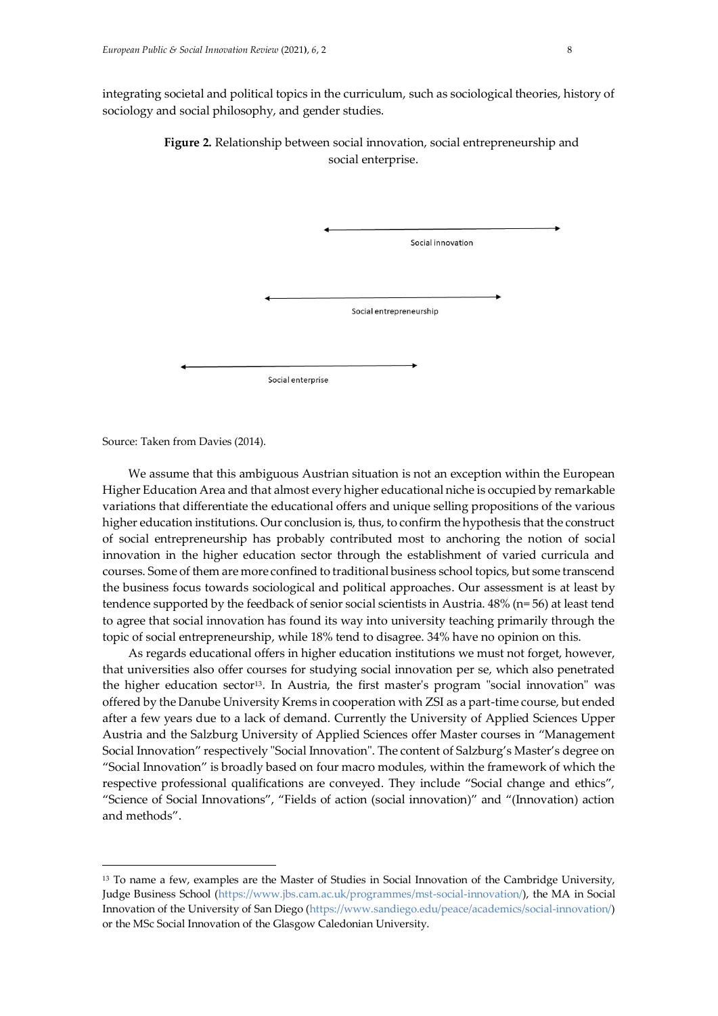integrating societal and political topics in the curriculum, such as sociological theories, history of sociology and social philosophy, and gender studies.

> **Figure 2.** Relationship between social innovation, social entrepreneurship and social enterprise.

|                   | Social innovation       |
|-------------------|-------------------------|
|                   |                         |
|                   |                         |
|                   |                         |
|                   | Social entrepreneurship |
|                   |                         |
|                   |                         |
|                   |                         |
| Social enterprise |                         |

Source: Taken from Davies (2014).

 $\overline{a}$ 

We assume that this ambiguous Austrian situation is not an exception within the European Higher Education Area and that almost every higher educational niche is occupied by remarkable variations that differentiate the educational offers and unique selling propositions of the various higher education institutions. Our conclusion is, thus, to confirm the hypothesis that the construct of social entrepreneurship has probably contributed most to anchoring the notion of social innovation in the higher education sector through the establishment of varied curricula and courses. Some of them are more confined to traditional business school topics, but some transcend the business focus towards sociological and political approaches. Our assessment is at least by tendence supported by the feedback of senior social scientists in Austria. 48% (n= 56) at least tend to agree that social innovation has found its way into university teaching primarily through the topic of social entrepreneurship, while 18% tend to disagree. 34% have no opinion on this.

As regards educational offers in higher education institutions we must not forget, however, that universities also offer courses for studying social innovation per se, which also penetrated the higher education sector<sup>13</sup>. In Austria, the first master's program "social innovation" was offered by the Danube University Krems in cooperation with ZSI as a part-time course, but ended after a few years due to a lack of demand. Currently the University of Applied Sciences Upper Austria and the Salzburg University of Applied Sciences offer Master courses in "Management Social Innovation" respectively "Social Innovation". The content of Salzburg's Master's degree on "Social Innovation" is broadly based on four macro modules, within the framework of which the respective professional qualifications are conveyed. They include "Social change and ethics", "Science of Social Innovations", "Fields of action (social innovation)" and "(Innovation) action and methods".

<sup>&</sup>lt;sup>13</sup> To name a few, examples are the Master of Studies in Social Innovation of the Cambridge University, Judge Business School [\(https://www.jbs.cam.ac.uk/programmes/mst-social-innovation/\)](https://www.jbs.cam.ac.uk/programmes/mst-social-innovation/), the MA in Social Innovation of the University of San Diego [\(https://www.sandiego.edu/peace/academics/social-innovation/\)](https://www.sandiego.edu/peace/academics/social-innovation/) or the MSc Social Innovation of the Glasgow Caledonian University.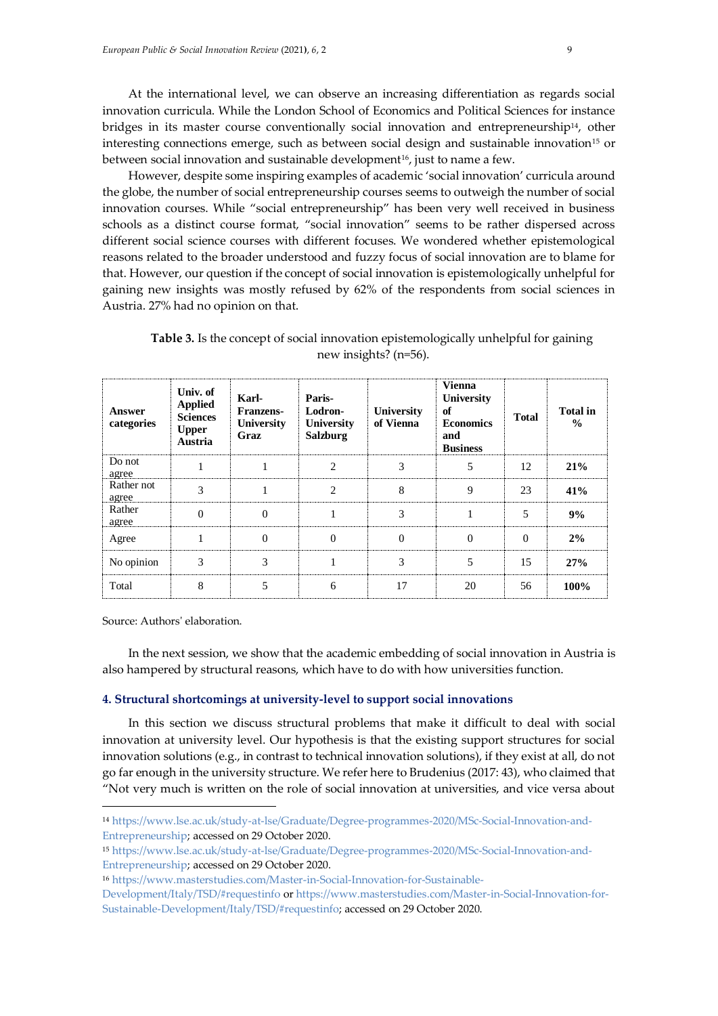At the international level, we can observe an increasing differentiation as regards social innovation curricula. While the London School of Economics and Political Sciences for instance bridges in its master course conventionally social innovation and entrepreneurship14, other interesting connections emerge, such as between social design and sustainable innovation<sup>15</sup> or between social innovation and sustainable development<sup>16</sup>, just to name a few.

However, despite some inspiring examples of academic 'social innovation' curricula around the globe, the number of social entrepreneurship courses seems to outweigh the number of social innovation courses. While "social entrepreneurship" has been very well received in business schools as a distinct course format, "social innovation" seems to be rather dispersed across different social science courses with different focuses. We wondered whether epistemological reasons related to the broader understood and fuzzy focus of social innovation are to blame for that. However, our question if the concept of social innovation is epistemologically unhelpful for gaining new insights was mostly refused by 62% of the respondents from social sciences in Austria. 27% had no opinion on that.

| Answer<br>categories | Univ. of<br><b>Applied</b><br><b>Sciences</b><br><b>Upper</b><br>Austria | Karl-<br>Franzens-<br>University<br>Graz | Paris-<br>Lodron-<br>University<br><b>Salzburg</b> | University<br>of Vienna | Vienna<br><b>University</b><br>of<br><b>Economics</b><br>and<br><b>Business</b> | <b>Total</b> | <b>Total</b> in<br>$\frac{6}{9}$ |
|----------------------|--------------------------------------------------------------------------|------------------------------------------|----------------------------------------------------|-------------------------|---------------------------------------------------------------------------------|--------------|----------------------------------|
| Do not<br>agree      |                                                                          |                                          |                                                    |                         |                                                                                 | 12           | 21%                              |
| Rather not<br>agree  |                                                                          |                                          |                                                    | 8                       | 9                                                                               | 23           | 41%                              |
| Rather<br>agree      |                                                                          |                                          |                                                    |                         |                                                                                 | 5            | 9%                               |
| Agree                |                                                                          |                                          |                                                    |                         |                                                                                 | O            | 2%                               |
| No opinion           |                                                                          |                                          |                                                    |                         |                                                                                 | 15           | 27%                              |
| Total                |                                                                          |                                          |                                                    | 17                      | 20                                                                              | 56           | 100%                             |

**Table 3.** Is the concept of social innovation epistemologically unhelpful for gaining new insights? (n=56).

Source: Authors' elaboration.

 $\overline{a}$ 

In the next session, we show that the academic embedding of social innovation in Austria is also hampered by structural reasons, which have to do with how universities function.

## **4. Structural shortcomings at university-level to support social innovations**

In this section we discuss structural problems that make it difficult to deal with social innovation at university level. Our hypothesis is that the existing support structures for social innovation solutions (e.g., in contrast to technical innovation solutions), if they exist at all, do not go far enough in the university structure. We refer here to Brudenius (2017: 43), who claimed that "Not very much is written on the role of social innovation at universities, and vice versa about

<sup>14</sup> [https://www.lse.ac.uk/study-at-lse/Graduate/Degree-programmes-2020/MSc-Social-Innovation-and-](https://www.lse.ac.uk/study-at-lse/Graduate/Degree-programmes-2020/MSc-Social-Innovation-and-Entrepreneurship)[Entrepreneurship;](https://www.lse.ac.uk/study-at-lse/Graduate/Degree-programmes-2020/MSc-Social-Innovation-and-Entrepreneurship) accessed on 29 October 2020.

<sup>15</sup> [https://www.lse.ac.uk/study-at-lse/Graduate/Degree-programmes-2020/MSc-Social-Innovation-and-](https://www.lse.ac.uk/study-at-lse/Graduate/Degree-programmes-2020/MSc-Social-Innovation-and-Entrepreneurship)[Entrepreneurship;](https://www.lse.ac.uk/study-at-lse/Graduate/Degree-programmes-2020/MSc-Social-Innovation-and-Entrepreneurship) accessed on 29 October 2020.

<sup>16</sup> [https://www.masterstudies.com/Master-in-Social-Innovation-for-Sustainable-](https://www.masterstudies.com/Master-in-Social-Innovation-for-Sustainable-Development/Italy/TSD/#requestinfo)

[Development/Italy/TSD/#requestinfo](https://www.masterstudies.com/Master-in-Social-Innovation-for-Sustainable-Development/Italy/TSD/#requestinfo) o[r https://www.masterstudies.com/Master-in-Social-Innovation-for-](https://www.masterstudies.com/Master-in-Social-Innovation-for-Sustainable-Development/Italy/TSD/#requestinfo)[Sustainable-Development/Italy/TSD/#requestinfo;](https://www.masterstudies.com/Master-in-Social-Innovation-for-Sustainable-Development/Italy/TSD/#requestinfo) accessed on 29 October 2020.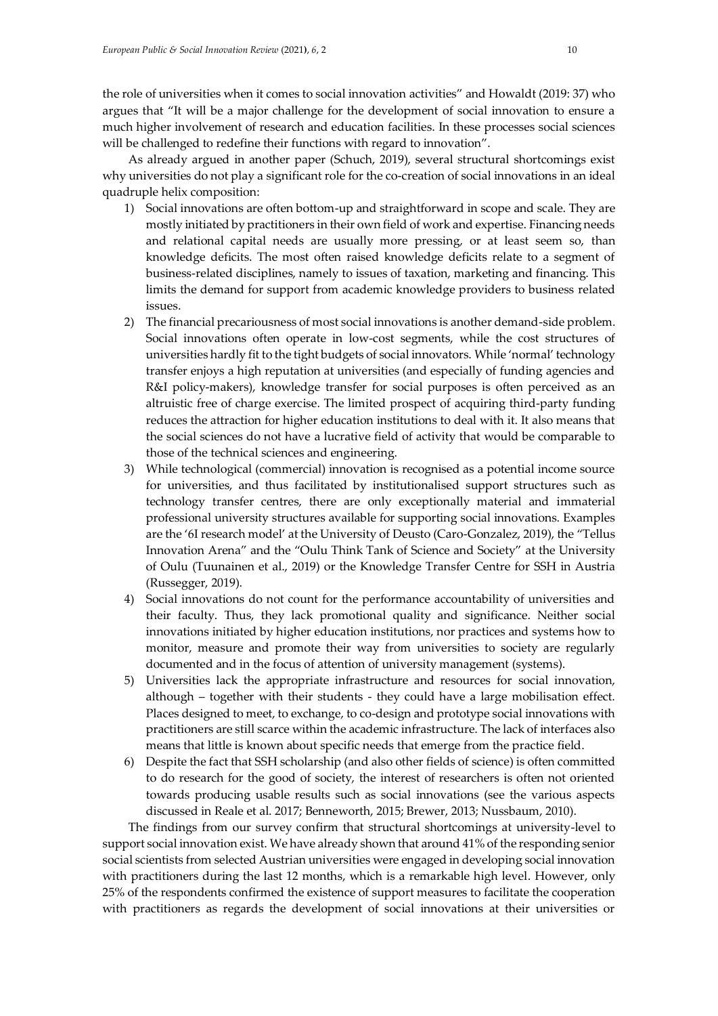the role of universities when it comes to social innovation activities" and Howaldt (2019: 37) who argues that "It will be a major challenge for the development of social innovation to ensure a much higher involvement of research and education facilities. In these processes social sciences will be challenged to redefine their functions with regard to innovation".

As already argued in another paper (Schuch, 2019), several structural shortcomings exist why universities do not play a significant role for the co-creation of social innovations in an ideal quadruple helix composition:

- 1) Social innovations are often bottom-up and straightforward in scope and scale. They are mostly initiated by practitioners in their own field of work and expertise. Financing needs and relational capital needs are usually more pressing, or at least seem so, than knowledge deficits. The most often raised knowledge deficits relate to a segment of business-related disciplines, namely to issues of taxation, marketing and financing. This limits the demand for support from academic knowledge providers to business related issues.
- 2) The financial precariousness of most social innovations is another demand-side problem. Social innovations often operate in low-cost segments, while the cost structures of universities hardly fit to the tight budgets of social innovators. While 'normal' technology transfer enjoys a high reputation at universities (and especially of funding agencies and R&I policy-makers), knowledge transfer for social purposes is often perceived as an altruistic free of charge exercise. The limited prospect of acquiring third-party funding reduces the attraction for higher education institutions to deal with it. It also means that the social sciences do not have a lucrative field of activity that would be comparable to those of the technical sciences and engineering.
- 3) While technological (commercial) innovation is recognised as a potential income source for universities, and thus facilitated by institutionalised support structures such as technology transfer centres, there are only exceptionally material and immaterial professional university structures available for supporting social innovations. Examples are the '6I research model' at the University of Deusto (Caro-Gonzalez, 2019), the "Tellus Innovation Arena" and the "Oulu Think Tank of Science and Society" at the University of Oulu (Tuunainen et al., 2019) or the Knowledge Transfer Centre for SSH in Austria (Russegger, 2019).
- 4) Social innovations do not count for the performance accountability of universities and their faculty. Thus, they lack promotional quality and significance. Neither social innovations initiated by higher education institutions, nor practices and systems how to monitor, measure and promote their way from universities to society are regularly documented and in the focus of attention of university management (systems).
- 5) Universities lack the appropriate infrastructure and resources for social innovation, although – together with their students - they could have a large mobilisation effect. Places designed to meet, to exchange, to co-design and prototype social innovations with practitioners are still scarce within the academic infrastructure. The lack of interfaces also means that little is known about specific needs that emerge from the practice field.
- 6) Despite the fact that SSH scholarship (and also other fields of science) is often committed to do research for the good of society, the interest of researchers is often not oriented towards producing usable results such as social innovations (see the various aspects discussed in Reale et al. 2017; Benneworth, 2015; Brewer, 2013; Nussbaum, 2010).

The findings from our survey confirm that structural shortcomings at university-level to support social innovation exist. We have already shown that around 41% of the responding senior social scientists from selected Austrian universities were engaged in developing social innovation with practitioners during the last 12 months, which is a remarkable high level. However, only 25% of the respondents confirmed the existence of support measures to facilitate the cooperation with practitioners as regards the development of social innovations at their universities or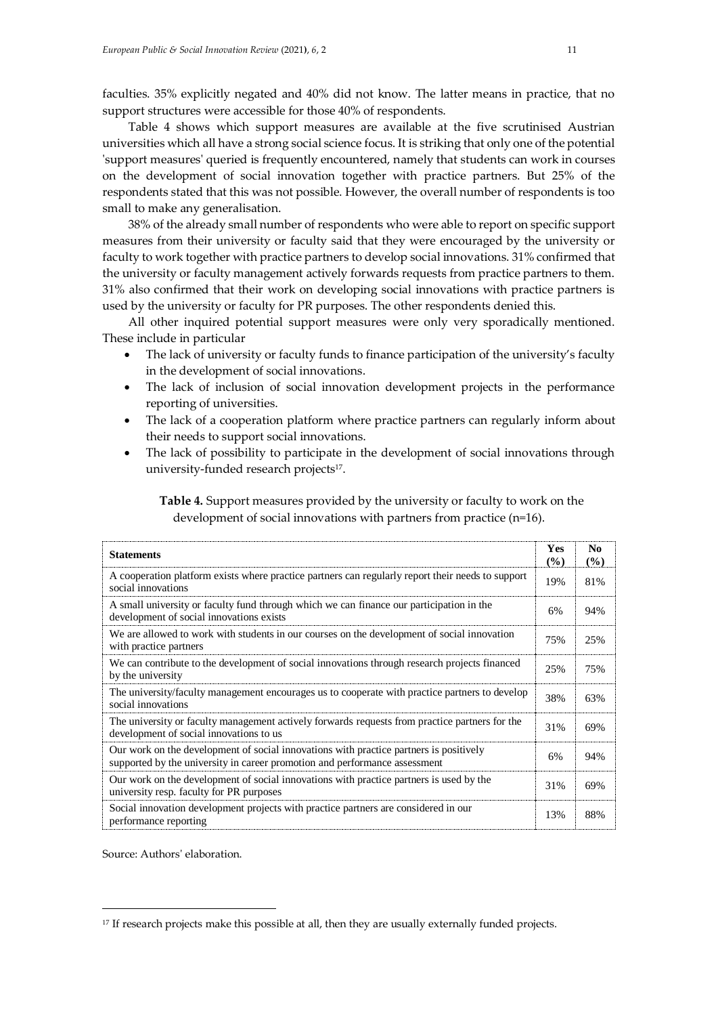faculties. 35% explicitly negated and 40% did not know. The latter means in practice, that no support structures were accessible for those 40% of respondents.

Table 4 shows which support measures are available at the five scrutinised Austrian universities which all have a strong social science focus. It is striking that only one of the potential 'support measures' queried is frequently encountered, namely that students can work in courses on the development of social innovation together with practice partners. But 25% of the respondents stated that this was not possible. However, the overall number of respondents is too small to make any generalisation.

38% of the already small number of respondents who were able to report on specific support measures from their university or faculty said that they were encouraged by the university or faculty to work together with practice partners to develop social innovations. 31% confirmed that the university or faculty management actively forwards requests from practice partners to them. 31% also confirmed that their work on developing social innovations with practice partners is used by the university or faculty for PR purposes. The other respondents denied this.

All other inquired potential support measures were only very sporadically mentioned. These include in particular

- The lack of university or faculty funds to finance participation of the university's faculty in the development of social innovations.
- The lack of inclusion of social innovation development projects in the performance reporting of universities.
- The lack of a cooperation platform where practice partners can regularly inform about their needs to support social innovations.
- The lack of possibility to participate in the development of social innovations through university-funded research projects<sup>17</sup> .

**Table 4.** Support measures provided by the university or faculty to work on the development of social innovations with partners from practice (n=16).

| <b>Statements</b>                                                                                                                                                    | <b>Yes</b><br>(%) | No.<br>(%) |
|----------------------------------------------------------------------------------------------------------------------------------------------------------------------|-------------------|------------|
| A cooperation platform exists where practice partners can regularly report their needs to support<br>social innovations                                              | 19%               | 81%        |
| A small university or faculty fund through which we can finance our participation in the<br>development of social innovations exists                                 | 6%                | 94%        |
| We are allowed to work with students in our courses on the development of social innovation<br>with practice partners                                                | 75%               | 25%        |
| We can contribute to the development of social innovations through research projects financed<br>by the university                                                   | 25%               | 75%        |
| The university/faculty management encourages us to cooperate with practice partners to develop<br>social innovations                                                 | 38%               | 63%        |
| The university or faculty management actively forwards requests from practice partners for the<br>development of social innovations to us                            | 31%               | 69%        |
| Our work on the development of social innovations with practice partners is positively<br>supported by the university in career promotion and performance assessment | 6%                | 94%        |
| Our work on the development of social innovations with practice partners is used by the<br>university resp. faculty for PR purposes                                  | 31%               | 69%        |
| Social innovation development projects with practice partners are considered in our<br>performance reporting                                                         | 13%               | 88%        |

Source: Authors' elaboration.

<sup>&</sup>lt;sup>17</sup> If research projects make this possible at all, then they are usually externally funded projects.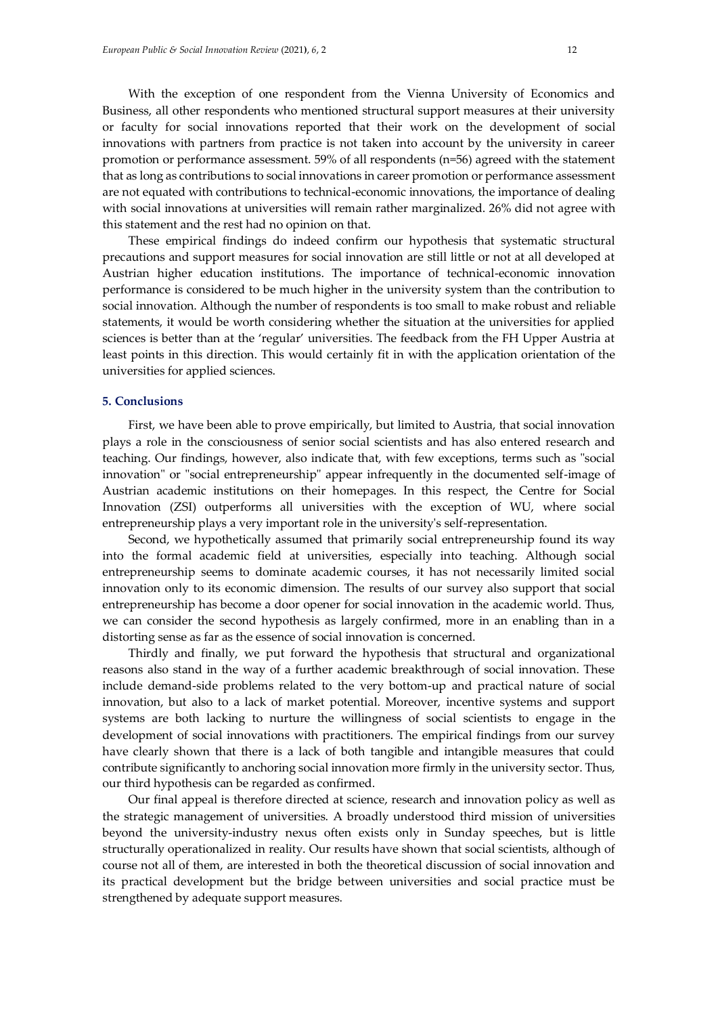With the exception of one respondent from the Vienna University of Economics and Business, all other respondents who mentioned structural support measures at their university or faculty for social innovations reported that their work on the development of social innovations with partners from practice is not taken into account by the university in career promotion or performance assessment. 59% of all respondents (n=56) agreed with the statement that as long as contributions to social innovations in career promotion or performance assessment are not equated with contributions to technical-economic innovations, the importance of dealing with social innovations at universities will remain rather marginalized. 26% did not agree with this statement and the rest had no opinion on that.

These empirical findings do indeed confirm our hypothesis that systematic structural precautions and support measures for social innovation are still little or not at all developed at Austrian higher education institutions. The importance of technical-economic innovation performance is considered to be much higher in the university system than the contribution to social innovation. Although the number of respondents is too small to make robust and reliable statements, it would be worth considering whether the situation at the universities for applied sciences is better than at the 'regular' universities. The feedback from the FH Upper Austria at least points in this direction. This would certainly fit in with the application orientation of the universities for applied sciences.

### **5. Conclusions**

First, we have been able to prove empirically, but limited to Austria, that social innovation plays a role in the consciousness of senior social scientists and has also entered research and teaching. Our findings, however, also indicate that, with few exceptions, terms such as "social innovation" or "social entrepreneurship" appear infrequently in the documented self-image of Austrian academic institutions on their homepages. In this respect, the Centre for Social Innovation (ZSI) outperforms all universities with the exception of WU, where social entrepreneurship plays a very important role in the university's self-representation.

Second, we hypothetically assumed that primarily social entrepreneurship found its way into the formal academic field at universities, especially into teaching. Although social entrepreneurship seems to dominate academic courses, it has not necessarily limited social innovation only to its economic dimension. The results of our survey also support that social entrepreneurship has become a door opener for social innovation in the academic world. Thus, we can consider the second hypothesis as largely confirmed, more in an enabling than in a distorting sense as far as the essence of social innovation is concerned.

Thirdly and finally, we put forward the hypothesis that structural and organizational reasons also stand in the way of a further academic breakthrough of social innovation. These include demand-side problems related to the very bottom-up and practical nature of social innovation, but also to a lack of market potential. Moreover, incentive systems and support systems are both lacking to nurture the willingness of social scientists to engage in the development of social innovations with practitioners. The empirical findings from our survey have clearly shown that there is a lack of both tangible and intangible measures that could contribute significantly to anchoring social innovation more firmly in the university sector. Thus, our third hypothesis can be regarded as confirmed.

Our final appeal is therefore directed at science, research and innovation policy as well as the strategic management of universities. A broadly understood third mission of universities beyond the university-industry nexus often exists only in Sunday speeches, but is little structurally operationalized in reality. Our results have shown that social scientists, although of course not all of them, are interested in both the theoretical discussion of social innovation and its practical development but the bridge between universities and social practice must be strengthened by adequate support measures.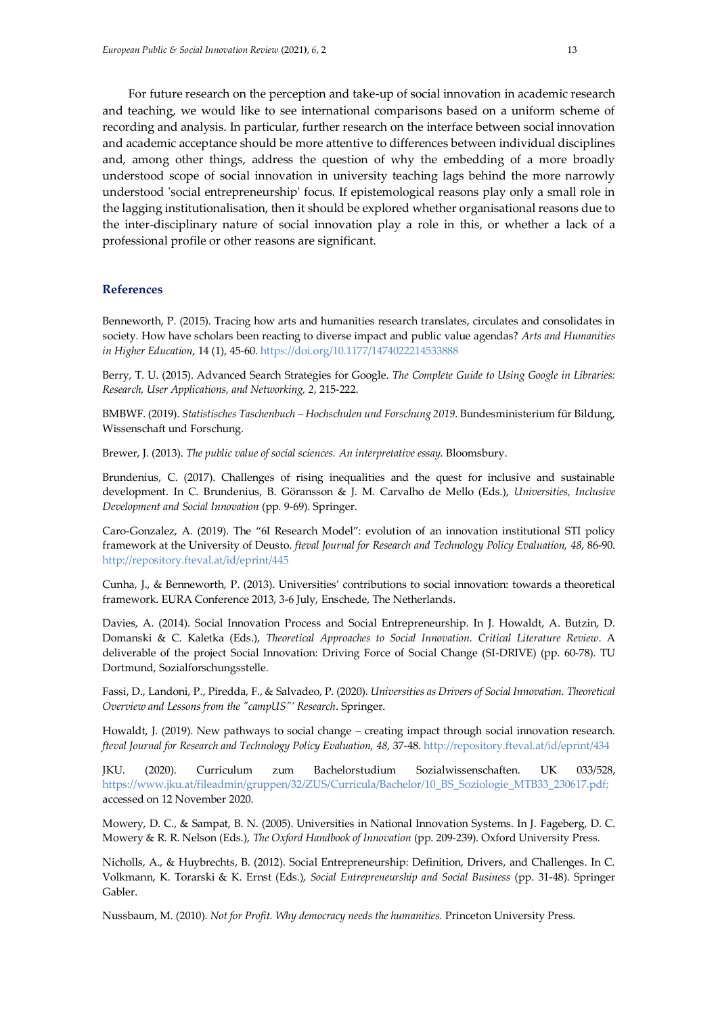For future research on the perception and take-up of social innovation in academic research and teaching, we would like to see international comparisons based on a uniform scheme of recording and analysis. In particular, further research on the interface between social innovation and academic acceptance should be more attentive to differences between individual disciplines and, among other things, address the question of why the embedding of a more broadly understood scope of social innovation in university teaching lags behind the more narrowly understood 'social entrepreneurship' focus. If epistemological reasons play only a small role in the lagging institutionalisation, then it should be explored whether organisational reasons due to the inter-disciplinary nature of social innovation play a role in this, or whether a lack of a professional profile or other reasons are significant.

## **References**

Benneworth, P. (2015). Tracing how arts and humanities research translates, circulates and consolidates in society. How have scholars been reacting to diverse impact and public value agendas? *Arts and Humanities in Higher Education*, 14 (1), 45-60. <https://doi.org/10.1177/1474022214533888>

Berry, T. U. (2015). Advanced Search Strategies for Google. *The Complete Guide to Using Google in Libraries: Research, User Applications, and Networking, 2*, 215-222.

BMBWF. (2019). *Statistisches Taschenbuch – Hochschulen und Forschung 2019*. Bundesministerium für Bildung, Wissenschaft und Forschung.

Brewer, J. (2013). *The public value of social sciences. An interpretative essay.* Bloomsbury.

Brundenius, C. (2017). Challenges of rising inequalities and the quest for inclusive and sustainable development. In C. Brundenius, B. Göransson & J. M. Carvalho de Mello (Eds.), *Universities, Inclusive Development and Social Innovation* (pp. 9-69). Springer.

Caro-Gonzalez, A. (2019). The "6I Research Model": evolution of an innovation institutional STI policy framework at the University of Deusto. *fteval Journal for Research and Technology Policy Evaluation, 48*, 86-90. <http://repository.fteval.at/id/eprint/445>

Cunha, J., & Benneworth, P. (2013). Universities' contributions to social innovation: towards a theoretical framework. EURA Conference 2013, 3-6 July, Enschede, The Netherlands.

Davies, A. (2014). Social Innovation Process and Social Entrepreneurship. In J. Howaldt, A. Butzin, D. Domanski & C. Kaletka (Eds.), *Theoretical Approaches to Social Innovation. Critical Literature Review*. A deliverable of the project Social Innovation: Driving Force of Social Change (SI-DRIVE) (pp. 60-78). TU Dortmund, Sozialforschungsstelle.

Fassi, D., Landoni, P., Piredda, F., & Salvadeo, P. (2020). *Universities as Drivers of Social Innovation. Theoretical Overview and Lessons from the "campUS"' Research*. Springer.

Howaldt, J. (2019). New pathways to social change – creating impact through social innovation research. *fteval Journal for Research and Technology Policy Evaluation, 48,* 37-48. <http://repository.fteval.at/id/eprint/434>

JKU. (2020). Curriculum zum Bachelorstudium Sozialwissenschaften. UK 033/528, [https://www.jku.at/fileadmin/gruppen/32/ZUS/Curricula/Bachelor/10\\_BS\\_Soziologie\\_MTB33\\_230617.pdf;](https://www.jku.at/fileadmin/gruppen/32/ZUS/Curricula/Bachelor/10_BS_Soziologie_MTB33_230617.pdf) accessed on 12 November 2020.

Mowery, D. C., & Sampat, B. N. (2005). Universities in National Innovation Systems. In J. Fageberg, D. C. Mowery & R. R. Nelson (Eds.), *The Oxford Handbook of Innovation* (pp. 209-239). Oxford University Press.

Nicholls, A., & Huybrechts, B. (2012). Social Entrepreneurship: Definition, Drivers, and Challenges. In C. Volkmann, K. Torarski & K. Ernst (Eds.), *Social Entrepreneurship and Social Business* (pp. 31-48). Springer Gabler.

Nussbaum, M. (2010). *Not for Profit. Why democracy needs the humanities.* Princeton University Press.